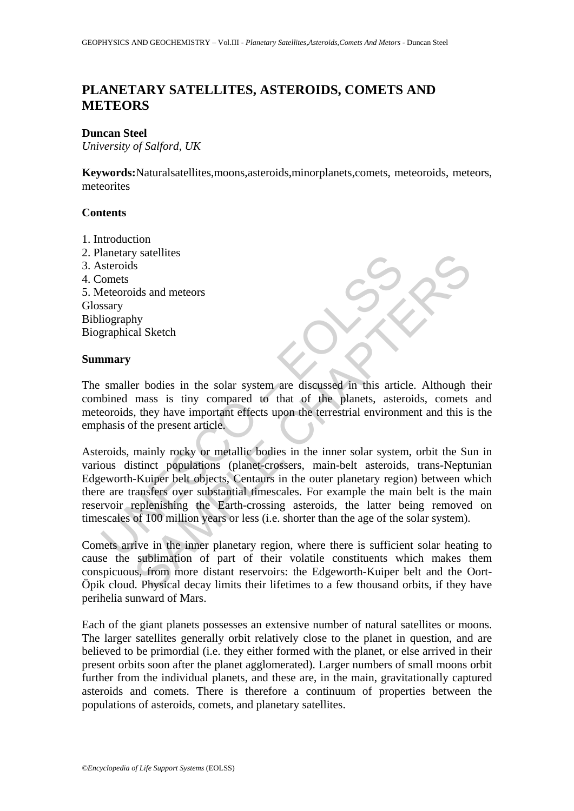# **PLANETARY SATELLITES, ASTEROIDS, COMETS AND METEORS**

## **Duncan Steel**

*University of Salford, UK*

**Keywords:**Naturalsatellites,moons,asteroids,minorplanets,comets, meteoroids, meteors, meteorites

## **Contents**

1. Introduction 2. Planetary satellites 3. Asteroids 4. Comets 5. Meteoroids and meteors Glossary Bibliography Biographical Sketch

### **Summary**

The smaller bodies in the solar system are discussed in this article. Although their combined mass is tiny compared to that of the planets, asteroids, comets and meteoroids, they have important effects upon the terrestrial environment and this is the emphasis of the present article.

alientary salemnes<br>
steroids<br>
steroids and meteors<br>
omets<br>
steroids and meteors<br>
steroids and meteors<br>
steroids and meteors<br>
steroids and meteors<br>
steroids and meteors<br>
steroids the steroid of the planets, asteroids<br>
the p SAMPLE CHAPTERS Asteroids, mainly rocky or metallic bodies in the inner solar system, orbit the Sun in various distinct populations (planet-crossers, main-belt asteroids, trans-Neptunian Edgeworth-Kuiper belt objects, Centaurs in the outer planetary region) between which there are transfers over substantial timescales. For example the main belt is the main reservoir replenishing the Earth-crossing asteroids, the latter being removed on timescales of 100 million years or less (i.e. shorter than the age of the solar system).

Comets arrive in the inner planetary region, where there is sufficient solar heating to cause the sublimation of part of their volatile constituents which makes them conspicuous, from more distant reservoirs: the Edgeworth-Kuiper belt and the Oort-Öpik cloud. Physical decay limits their lifetimes to a few thousand orbits, if they have perihelia sunward of Mars.

Each of the giant planets possesses an extensive number of natural satellites or moons. The larger satellites generally orbit relatively close to the planet in question, and are believed to be primordial (i.e. they either formed with the planet, or else arrived in their present orbits soon after the planet agglomerated). Larger numbers of small moons orbit further from the individual planets, and these are, in the main, gravitationally captured asteroids and comets. There is therefore a continuum of properties between the populations of asteroids, comets, and planetary satellites.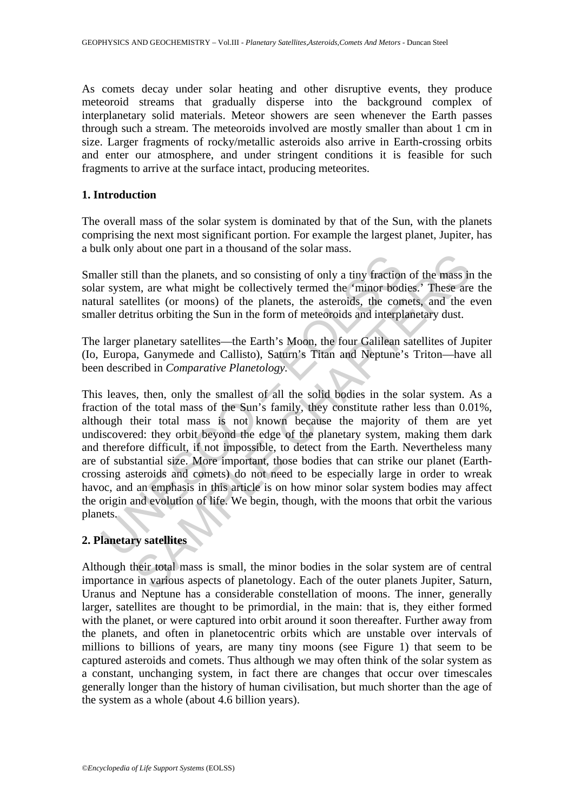As comets decay under solar heating and other disruptive events, they produce meteoroid streams that gradually disperse into the background complex of interplanetary solid materials. Meteor showers are seen whenever the Earth passes through such a stream. The meteoroids involved are mostly smaller than about 1 cm in size. Larger fragments of rocky/metallic asteroids also arrive in Earth-crossing orbits and enter our atmosphere, and under stringent conditions it is feasible for such fragments to arrive at the surface intact, producing meteorites.

## **1. Introduction**

The overall mass of the solar system is dominated by that of the Sun, with the planets comprising the next most significant portion. For example the largest planet, Jupiter, has a bulk only about one part in a thousand of the solar mass.

Smaller still than the planets, and so consisting of only a tiny fraction of the mass in the solar system, are what might be collectively termed the 'minor bodies.' These are the natural satellites (or moons) of the planets, the asteroids, the comets, and the even smaller detritus orbiting the Sun in the form of meteoroids and interplanetary dust.

The larger planetary satellites—the Earth's Moon, the four Galilean satellites of Jupiter (Io, Europa, Ganymede and Callisto), Saturn's Titan and Neptune's Triton—have all been described in *Comparative Planetology.* 

<sup>1</sup><br>
Iller still than the planets, and so consisting of only a tiny fraction<br>
Iller stillites (or moons) of the planets, the asteroids, the correlated<br>
Iller detritus orbiting the Sun in the form of meteoroids and interpl<br> The and the planets, and so consisting of only a tiny fraction of the mass in<br>than the planets, and so consisting of only a tiny fraction of the mass in<br>ellites (or moons) of the planets, the asteroids, the comets, and the This leaves, then, only the smallest of all the solid bodies in the solar system. As a fraction of the total mass of the Sun's family, they constitute rather less than 0.01%, although their total mass is not known because the majority of them are yet undiscovered: they orbit beyond the edge of the planetary system, making them dark and therefore difficult, if not impossible, to detect from the Earth. Nevertheless many are of substantial size. More important, those bodies that can strike our planet (Earthcrossing asteroids and comets) do not need to be especially large in order to wreak havoc, and an emphasis in this article is on how minor solar system bodies may affect the origin and evolution of life. We begin, though, with the moons that orbit the various the  $\frac{1}{2}$ <br>planets.

# **2. Planetary satellites**

Although their total mass is small, the minor bodies in the solar system are of central importance in various aspects of planetology. Each of the outer planets Jupiter, Saturn, Uranus and Neptune has a considerable constellation of moons. The inner, generally larger, satellites are thought to be primordial, in the main: that is, they either formed with the planet, or were captured into orbit around it soon thereafter. Further away from the planets, and often in planetocentric orbits which are unstable over intervals of millions to billions of years, are many tiny moons (see Figure 1) that seem to be captured asteroids and comets. Thus although we may often think of the solar system as a constant, unchanging system, in fact there are changes that occur over timescales generally longer than the history of human civilisation, but much shorter than the age of the system as a whole (about 4.6 billion years).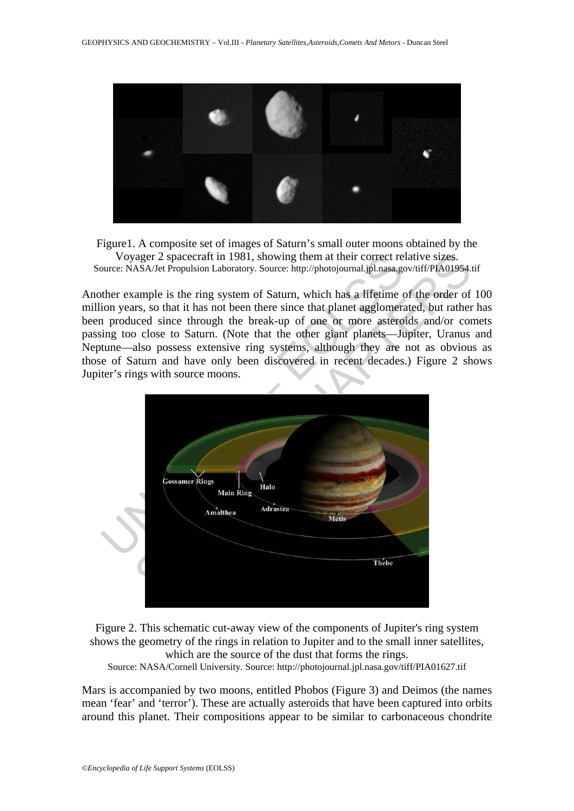

Figure1. A composite set of images of Saturn's small outer moons obtained by the Voyager 2 spacecraft in 1981, showing them at their correct relative sizes. Source: NASA/Jet Propulsion Laboratory. Source: http://photojournal.jpl.nasa.gov/tiff/PIA01954.tif

Another example is the ring system of Saturn, which has a lifetime of the order of 100 million years, so that it has not been there since that planet agglomerated, but rather has been produced since through the break-up of one or more asteroids and/or comets passing too close to Saturn. (Note that the other giant planets—Jupiter, Uranus and Neptune—also possess extensive ring systems, although they are not as obvious as those of Saturn and have only been discovered in recent decades.) Figure 2 shows Jupiter's rings with source moons.



Figure 2. This schematic cut-away view of the components of Jupiter's ring system shows the geometry of the rings in relation to Jupiter and to the small inner satellites, which are the source of the dust that forms the rings.

Source: NASA/Cornell University. Source: http://photojournal.jpl.nasa.gov/tiff/PIA01627.tif

Mars is accompanied by two moons, entitled Phobos (Figure 3) and Deimos (the names mean 'fear' and 'terror'). These are actually asteroids that have been captured into orbits around this planet. Their compositions appear to be similar to carbonaceous chondrite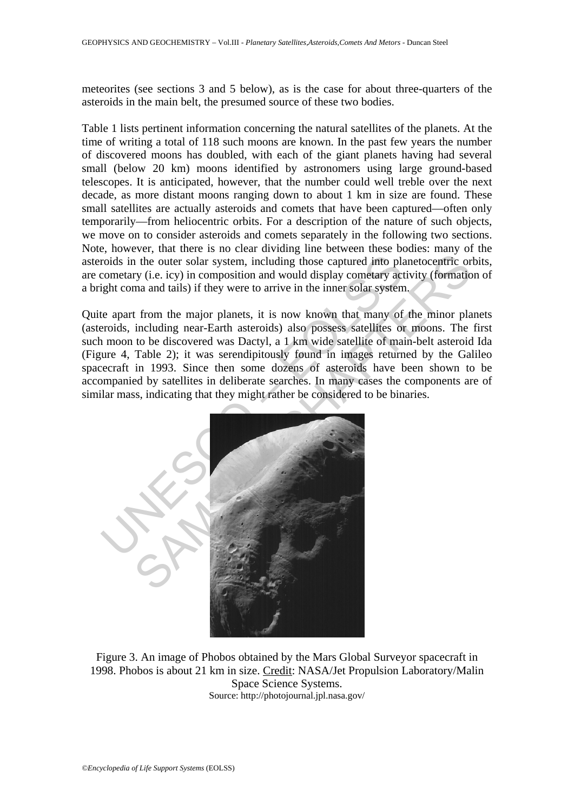meteorites (see sections 3 and 5 below), as is the case for about three-quarters of the asteroids in the main belt, the presumed source of these two bodies.

Table 1 lists pertinent information concerning the natural satellites of the planets. At the time of writing a total of 118 such moons are known. In the past few years the number of discovered moons has doubled, with each of the giant planets having had several small (below 20 km) moons identified by astronomers using large ground-based telescopes. It is anticipated, however, that the number could well treble over the next decade, as more distant moons ranging down to about 1 km in size are found. These small satellites are actually asteroids and comets that have been captured—often only temporarily—from heliocentric orbits. For a description of the nature of such objects, we move on to consider asteroids and comets separately in the following two sections. Note, however, that there is no clear dividing line between these bodies: many of the asteroids in the outer solar system, including those captured into planetocentric orbits, are cometary (i.e. icy) in composition and would display cometary activity (formation of a bright coma and tails) if they were to arrive in the inner solar system.

Quite apart from the major planets, it is now known that many of the minor planets (asteroids, including near-Earth asteroids) also possess satellites or moons. The first such moon to be discovered was Dactyl, a 1 km wide satellite of main-belt asteroid Ida (Figure 4, Table 2); it was serendipitously found in images returned by the Galileo spacecraft in 1993. Since then some dozens of asteroids have been shown to be accompanied by satellites in deliberate searches. In many cases the components are of similar mass, indicating that they might rather be considered to be binaries.



Figure 3. An image of Phobos obtained by the Mars Global Surveyor spacecraft in 1998. Phobos is about 21 km in size. Credit: NASA/Jet Propulsion Laboratory/Malin Space Science Systems. Source: http://photojournal.jpl.nasa.gov/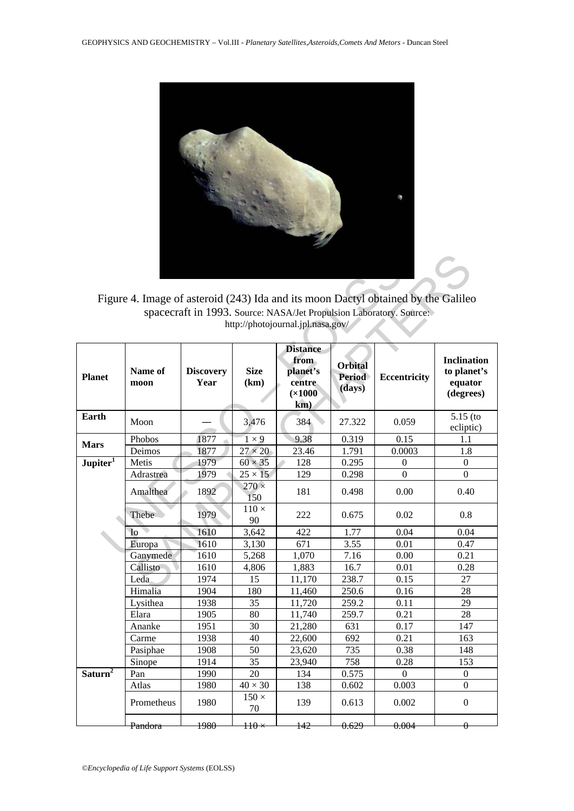

Figure 4. Image of asteroid (243) Ida and its moon Dactyl obtained by the Galileo spacecraft in 1993. Source: NASA/Jet Propulsion Laboratory. Source: http://photojournal.jpl.nasa.gov/

|                                                |                    |                          |                     |                                                                 |                                           | Figure 4. Image of asteroid (243) Ida and its moon Dactyl obtained by the Galileo |                                                           |
|------------------------------------------------|--------------------|--------------------------|---------------------|-----------------------------------------------------------------|-------------------------------------------|-----------------------------------------------------------------------------------|-----------------------------------------------------------|
|                                                |                    |                          |                     | http://photojournal.jpl.nasa.gov/                               |                                           | spacecraft in 1993. Source: NASA/Jet Propulsion Laboratory. Source:               |                                                           |
| <b>Planet</b>                                  | Name of<br>moon    | <b>Discovery</b><br>Year | Size<br>(km)        | <b>Distance</b><br>from<br>planet's<br>centre<br>(x1000)<br>km) | <b>Orbital</b><br><b>Period</b><br>(days) | <b>Eccentricity</b>                                                               | <b>Inclination</b><br>to planet's<br>equator<br>(degrees) |
| Earth                                          | Moon               |                          | 3,476               | 384                                                             | 27.322                                    | 0.059                                                                             | $5.15$ (to<br>ecliptic)                                   |
|                                                | Phobos             | 1877                     | $1 \times 9$        | 9.38                                                            | 0.319                                     | 0.15                                                                              | 1.1                                                       |
| <b>Mars</b>                                    | Deimos             | 1877                     | $27 \times 20$      | 23.46                                                           | 1.791                                     | 0.0003                                                                            | 1.8                                                       |
| $Jupiter$ <sup><math>\overline{I}</math></sup> | Metis              | 1979                     | $60 \times 35$      | 128                                                             | 0.295                                     | 0                                                                                 | $\boldsymbol{0}$                                          |
|                                                | Adrastrea          | 1979                     | $25 \times 15$      | 129                                                             | 0.298                                     | $\theta$                                                                          | $\theta$                                                  |
|                                                | Amalthea           | 1892                     | $270 \times$<br>150 | 181                                                             | 0.498                                     | 0.00                                                                              | 0.40                                                      |
|                                                | Thebe              | 1979                     | $110 \times$<br>90  | 222                                                             | 0.675                                     | 0.02                                                                              | 0.8                                                       |
|                                                | I <sub>o</sub>     | 1610                     | 3,642               | 422                                                             | 1.77                                      | 0.04                                                                              | 0.04                                                      |
|                                                | Europa             | 1610                     | 3,130               | 671                                                             | 3.55                                      | 0.01                                                                              | 0.47                                                      |
|                                                | Ganymede           | 1610                     | 5,268               | 1,070                                                           | 7.16                                      | 0.00                                                                              | 0.21                                                      |
|                                                | Callisto           | 1610                     | 4,806               | 1,883                                                           | 16.7                                      | 0.01                                                                              | 0.28                                                      |
|                                                | Leda               | 1974                     | 15                  | 11,170                                                          | 238.7                                     | 0.15                                                                              | 27                                                        |
|                                                | Himalia            | 1904                     | 180                 | 11,460                                                          | 250.6                                     | 0.16                                                                              | 28                                                        |
|                                                | Lysithea           | 1938                     | 35                  | 11,720                                                          | 259.2                                     | 0.11                                                                              | 29                                                        |
|                                                | Elara              | 1905                     | 80                  | 11,740                                                          | 259.7                                     | 0.21                                                                              | 28                                                        |
|                                                | Ananke             | 1951                     | 30                  | 21,280                                                          | 631                                       | 0.17                                                                              | 147                                                       |
|                                                | Carme              | 1938                     | 40                  | 22,600                                                          | 692                                       | 0.21                                                                              | 163                                                       |
|                                                | Pasiphae           | 1908                     | 50                  | 23,620                                                          | 735                                       | 0.38                                                                              | 148                                                       |
|                                                | Sinope             | 1914                     | 35                  | 23,940                                                          | 758                                       | 0.28                                                                              | 153                                                       |
| Saturn <sup>2</sup>                            | Pan                | 1990                     | 20                  | 134                                                             | 0.575                                     | $\mathbf{0}$                                                                      | $\boldsymbol{0}$                                          |
|                                                | Atlas              | 1980                     | $40 \times 30$      | 138                                                             | 0.602                                     | 0.003                                                                             | $\Omega$                                                  |
|                                                | Prometheus         | 1980                     | $150 \times$<br>70  | 139                                                             | 0.613                                     | 0.002                                                                             | $\Omega$                                                  |
|                                                | <del>Pandora</del> | 1980                     | $\pm 10 \times$     | 142                                                             | 0.629                                     | 0.004                                                                             | 0                                                         |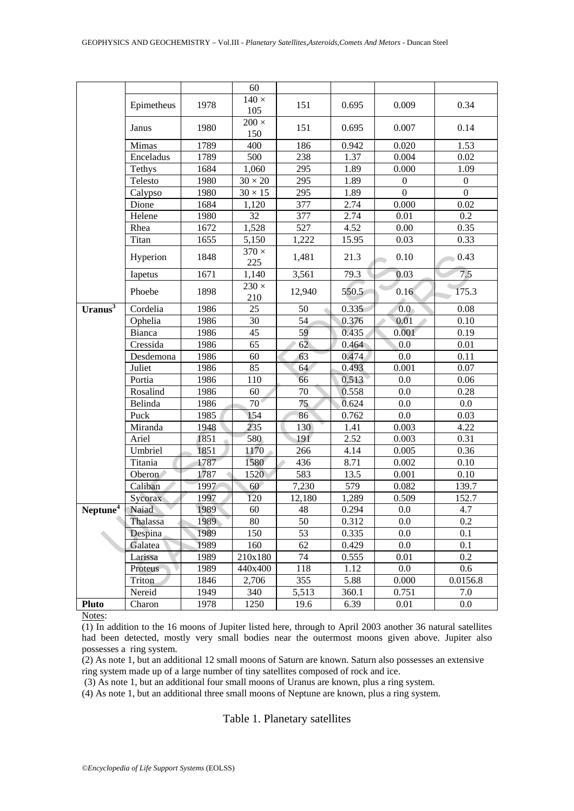|                      | Epimetheus | 1978 | 60<br>$140 \times$<br>105 | 151    | 0.695 | 0.009            | 0.34             |
|----------------------|------------|------|---------------------------|--------|-------|------------------|------------------|
|                      | Janus      | 1980 | $200 \times$<br>150       | 151    | 0.695 | 0.007            | 0.14             |
|                      | Mimas      | 1789 | 400                       | 186    | 0.942 | 0.020            | 1.53             |
|                      | Enceladus  | 1789 | 500                       | 238    | 1.37  | 0.004            | 0.02             |
|                      | Tethys     | 1684 | 1,060                     | 295    | 1.89  | 0.000            | 1.09             |
|                      | Telesto    | 1980 | $30\times20$              | 295    | 1.89  | $\boldsymbol{0}$ | $\boldsymbol{0}$ |
|                      | Calypso    | 1980 | $30\times15$              | 295    | 1.89  | $\boldsymbol{0}$ | $\overline{0}$   |
|                      | Dione      | 1684 | 1,120                     | 377    | 2.74  | 0.000            | 0.02             |
|                      | Helene     | 1980 | 32                        | 377    | 2.74  | 0.01             | 0.2              |
|                      | Rhea       | 1672 | 1,528                     | 527    | 4.52  | 0.00             | 0.35             |
|                      | Titan      | 1655 | 5,150                     | 1,222  | 15.95 | 0.03             | 0.33             |
|                      | Hyperion   | 1848 | $370 \times$<br>225       | 1,481  | 21.3  | 0.10             | 0.43             |
|                      | Iapetus    | 1671 | 1,140                     | 3,561  | 79.3  | 0.03             | 7.5              |
|                      | Phoebe     | 1898 | $230 \times$<br>210       | 12,940 | 550.5 | 0.16             | 175.3            |
| Uranus $3$           | Cordelia   | 1986 | 25                        | 50     | 0.335 | $\overline{0.0}$ | 0.08             |
|                      | Ophelia    | 1986 | 30                        | 54     | 0.376 | 0.01             | 0.10             |
|                      | Bianca     | 1986 | 45                        | 59     | 0.435 | 0.001            | 0.19             |
|                      | Cressida   | 1986 | $\overline{65}$           | 62     | 0.464 | 0.0              | 0.01             |
|                      | Desdemona  | 1986 | 60                        | 63     | 0.474 | 0.0              | 0.11             |
|                      | Juliet     | 1986 | 85                        | 64     | 0.493 | 0.001            | 0.07             |
|                      | Portia     | 1986 | 110                       | 66     | 0.513 | 0.0              | 0.06             |
|                      | Rosalind   | 1986 | 60                        | 70     | 0.558 | 0.0              | 0.28             |
|                      | Belinda    | 1986 | $70^{\circ}$              | 75     | 0.624 | 0.0              | 0.0              |
|                      | Puck       | 1985 | 154                       | 86     | 0.762 | 0.0              | 0.03             |
|                      | Miranda    | 1948 | 235                       | 130    | 1.41  | 0.003            | 4.22             |
|                      | Ariel      | 1851 | 580                       | 191    | 2.52  | 0.003            | 0.31             |
|                      | Umbriel    | 1851 | 1170                      | 266    | 4.14  | 0.005            | 0.36             |
|                      | Titania    | 1787 | 1580                      | 436    | 8.71  | 0.002            | 0.10             |
|                      | Oberon     | 1787 | 1520                      | 583    | 13.5  | 0.001            | $0.10\,$         |
|                      | Caliban    | 1997 | 60                        | 7,230  | 579   | 0.082            | 139.7            |
|                      | Sycorax    | 1997 | 120                       | 12,180 | 1,289 | 0.509            | 152.7            |
| Neptune <sup>4</sup> | Naiad      | 1989 | 60                        | 48     | 0.294 | $0.0\,$          | 4.7              |
|                      | Thalassa   | 1989 | 80                        | 50     | 0.312 | 0.0              | 0.2              |
|                      | Despina    | 1989 | 150                       | 53     | 0.335 | $0.0\,$          | 0.1              |
|                      | Galatea    | 1989 | 160                       | 62     | 0.429 | 0.0              | 0.1              |
|                      | Larissa    | 1989 | 210x180                   | 74     | 0.555 | 0.01             | 0.2              |
|                      | Proteus    | 1989 | 440x400                   | 118    | 1.12  | $0.0\,$          | 0.6              |
|                      | Triton     | 1846 | 2,706                     | 355    | 5.88  | 0.000            | 0.0156.8         |
|                      | Nereid     | 1949 | 340                       | 5,513  | 360.1 | 0.751            | 7.0              |
| <b>Pluto</b>         | Charon     | 1978 | 1250                      | 19.6   | 6.39  | 0.01             | 0.0              |

Notes:

 $\overline{(1)}$  In addition to the 16 moons of Jupiter listed here, through to April 2003 another 36 natural satellites had been detected, mostly very small bodies near the outermost moons given above. Jupiter also possesses a ring system.

(2) As note 1, but an additional 12 small moons of Saturn are known. Saturn also possesses an extensive ring system made up of a large number of tiny satellites composed of rock and ice.

(3) As note 1, but an additional four small moons of Uranus are known, plus a ring system.

(4) As note 1, but an additional three small moons of Neptune are known, plus a ring system.

Table 1. Planetary satellites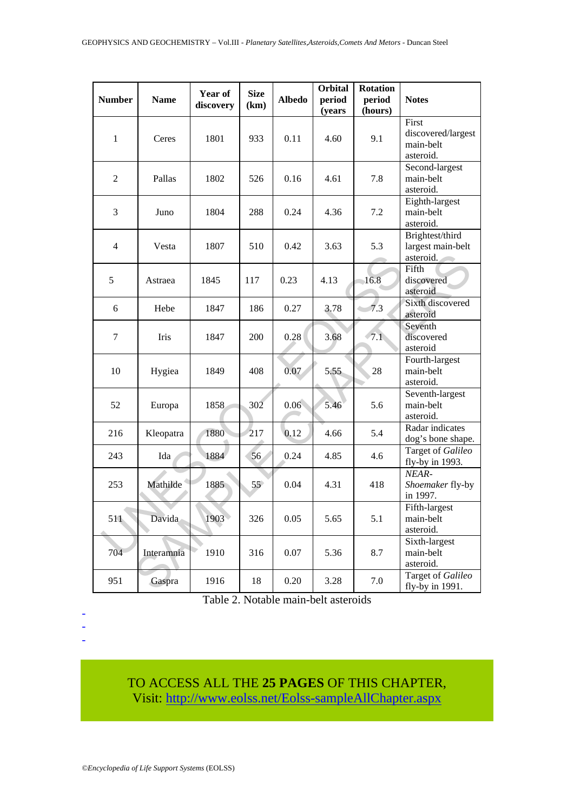| <b>Number</b>  | <b>Name</b> | Year of<br>discovery | <b>Size</b><br>(km) | <b>Albedo</b> | <b>Orbital</b><br>period<br>(years | <b>Rotation</b><br>period<br>(hours) | <b>Notes</b>                                          |
|----------------|-------------|----------------------|---------------------|---------------|------------------------------------|--------------------------------------|-------------------------------------------------------|
| 1              | Ceres       | 1801                 | 933                 | 0.11          | 4.60                               | 9.1                                  | First<br>discovered/largest<br>main-belt<br>asteroid. |
| 2              | Pallas      | 1802                 | 526                 | 0.16          | 4.61                               | 7.8                                  | Second-largest<br>main-belt<br>asteroid.              |
| 3              | Juno        | 1804                 | 288                 | 0.24          | 4.36                               | 7.2                                  | Eighth-largest<br>main-belt<br>asteroid.              |
| $\overline{4}$ | Vesta       | 1807                 | 510                 | 0.42          | 3.63                               | 5.3                                  | Brightest/third<br>largest main-belt<br>asteroid.     |
| 5              | Astraea     | 1845                 | 117                 | 0.23          | 4.13                               | 16.8                                 | Fifth<br>discovered<br>asteroid                       |
| 6              | Hebe        | 1847                 | 186                 | 0.27          | 3.78                               | 7.3                                  | Sixth discovered<br>asteroid                          |
| 7              | Iris        | 1847                 | 200                 | 0.28          | 3.68                               | 7.1                                  | Seventh<br>discovered<br>asteroid                     |
| 10             | Hygiea      | 1849                 | 408                 | 0.07          | 5.55                               | 28                                   | Fourth-largest<br>main-belt<br>asteroid.              |
| 52             | Europa      | 1858                 | 302                 | 0.06          | 5.46                               | 5.6                                  | Seventh-largest<br>main-belt<br>asteroid.             |
| 216            | Kleopatra   | 1880                 | 217                 | 0.12          | 4.66                               | 5.4                                  | Radar indicates<br>dog's bone shape.                  |
| 243            | Ida         | 1884                 | 56                  | 0.24          | 4.85                               | 4.6                                  | Target of Galileo<br>fly-by in 1993.                  |
| 253            | Mathilde    | 1885                 | 55                  | 0.04          | 4.31                               | 418                                  | NEAR-<br>Shoemaker fly-by<br>in 1997.                 |
| 511            | Davida      | 1903                 | 326                 | 0.05          | 5.65                               | 5.1                                  | Fifth-largest<br>main-belt<br>asteroid.               |
| 704            | Interamnia  | 1910                 | 316                 | 0.07          | 5.36                               | 8.7                                  | Sixth-largest<br>main-belt<br>asteroid.               |
| 951            | Gaspra      | 1916                 | 18                  | 0.20          | 3.28                               | 7.0                                  | Target of Galileo<br>fly-by in $1991$ .               |

Table 2. Notable main-belt asteroids

# TO ACCESS ALL THE **25 PAGES** OF THIS CHAPTER, Visit[: http://www.eolss.net/Eolss-sampleAllChapter.aspx](https://www.eolss.net/ebooklib/sc_cart.aspx?File=E6-16-08-03)

- - -